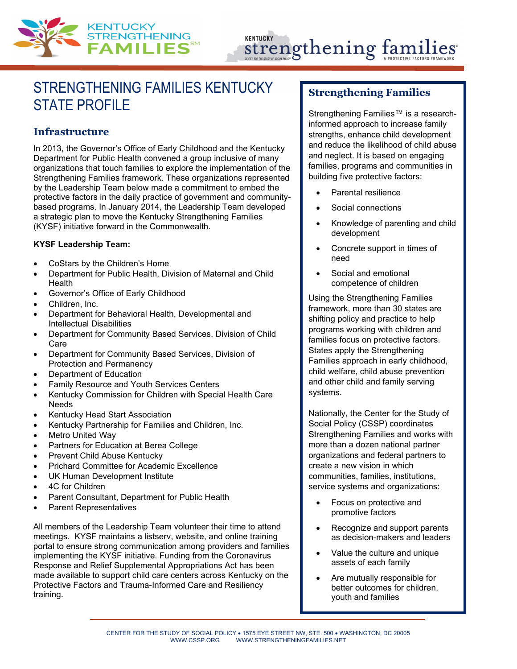

# KENTUCKY Strengthening famil

# STRENGTHENING FAMILIES KENTUCKY STATE PROFILE

#### **Infrastructure**

In 2013, the Governor's Office of Early Childhood and the Kentucky Department for Public Health convened a group inclusive of many organizations that touch families to explore the implementation of the Strengthening Families framework. These organizations represented by the Leadership Team below made a commitment to embed the protective factors in the daily practice of government and communitybased programs. In January 2014, the Leadership Team developed a strategic plan to move the Kentucky Strengthening Families (KYSF) initiative forward in the Commonwealth.

#### **KYSF Leadership Team:**

- CoStars by the Children's Home
- Department for Public Health, Division of Maternal and Child Health
- Governor's Office of Early Childhood
- Children, Inc.
- Department for Behavioral Health, Developmental and Intellectual Disabilities
- Department for Community Based Services, Division of Child Care
- Department for Community Based Services, Division of Protection and Permanency
- Department of Education
- Family Resource and Youth Services Centers
- Kentucky Commission for Children with Special Health Care Needs
- Kentucky Head Start Association
- Kentucky Partnership for Families and Children, Inc.
- Metro United Way
- Partners for Education at Berea College
- Prevent Child Abuse Kentucky
- Prichard Committee for Academic Excellence
- UK Human Development Institute
- 4C for Children
- Parent Consultant, Department for Public Health
- Parent Representatives

All members of the Leadership Team volunteer their time to attend meetings. KYSF maintains a listserv, website, and online training portal to ensure strong communication among providers and families implementing the KYSF initiative. Funding from the Coronavirus Response and Relief Supplemental Appropriations Act has been made available to support child care centers across Kentucky on the Protective Factors and Trauma-Informed Care and Resiliency training.

#### **Strengthening Families**

Strengthening Families™ is a researchinformed approach to increase family strengths, enhance child development and reduce the likelihood of child abuse and neglect. It is based on engaging families, programs and communities in building five protective factors:

- Parental resilience
- Social connections
- Knowledge of parenting and child development
- Concrete support in times of need
- Social and emotional competence of children

Using the Strengthening Families framework, more than 30 states are shifting policy and practice to help programs working with children and families focus on protective factors. States apply the Strengthening Families approach in early childhood, child welfare, child abuse prevention and other child and family serving systems.

Nationally, the Center for the Study of Social Policy (CSSP) coordinates Strengthening Families and works with more than a dozen national partner organizations and federal partners to create a new vision in which communities, families, institutions, service systems and organizations:

- Focus on protective and promotive factors
- Recognize and support parents as decision-makers and leaders
- Value the culture and unique assets of each family
- Are mutually responsible for better outcomes for children, youth and families